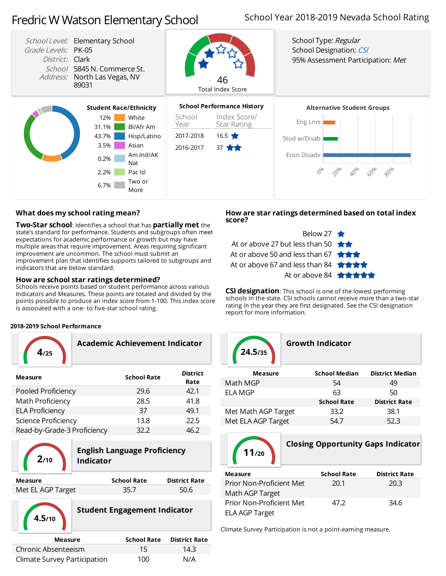# FredricWWatson Elementary School

## School Year 2018-2019 Nevada School Rating



### **What doesmy school rating mean?**

**Two-Star school:** Identifies a school that has **partially met** the state's standard for performance. Students and subgroups often meet expectations for academic performance or growth but may have multiple areas that require improvement. Areas requiring significant improvement are uncommon. The school must submit an improvement plan that identifies supports tailored to subgroups and indicators that are below standard.

#### **Howare schoolstar ratings determined?**

Schools receive points based on student performance across various Indicators and Measures. These points are totaled and divided by the points possible to produce an index score from 1-100. This index score is associated with a one- to five-star school rating.

#### **2018-2019 School Performance**

| 4.25                        | Academic Achievement Indicator |                         |  |  |  |  |  |
|-----------------------------|--------------------------------|-------------------------|--|--|--|--|--|
| <b>Measure</b>              | <b>School Rate</b>             | <b>District</b><br>Rate |  |  |  |  |  |
| Pooled Proficiency          | 29.6                           | 42.1                    |  |  |  |  |  |
| Math Proficiency            | 28.5                           | 41.8                    |  |  |  |  |  |
| <b>ELA Proficiency</b>      | 37                             | 49.1                    |  |  |  |  |  |
| Science Proficiency         | 13.8                           | 22.5                    |  |  |  |  |  |
| Read-by-Grade-3 Proficiency | 32.2                           | 46.2                    |  |  |  |  |  |



**4.5/10**

## **English Language Proficiency 2/10 Indicator**

| Measure           | <b>School Rate</b> | <b>District Rate</b> |
|-------------------|--------------------|----------------------|
| Met EL AGP Target | 35.7               | 50.6                 |



| Measure                      | <b>School Rate</b> | <b>District Rate</b> |
|------------------------------|--------------------|----------------------|
| Chronic Absenteeism          | 15                 | 14.3                 |
| Climate Survey Participation | 100                | N/A                  |

#### **Howare star ratings determined based on total index score?**



**CSI designation**: This school is one of the lowest performing schools in the state. CSI schools cannot receive more than a two-star rating in the year they are first designated. See the CSI designation report for more information.

| 24.5/35             | <b>Growth Indicator</b> |                      |                        |  |  |
|---------------------|-------------------------|----------------------|------------------------|--|--|
| <b>Measure</b>      |                         | <b>School Median</b> | <b>District Median</b> |  |  |
| Math MGP            |                         | 54                   | 49                     |  |  |
| ELA MGP             |                         | 63                   | 50                     |  |  |
|                     |                         | <b>School Rate</b>   | <b>District Rate</b>   |  |  |
| Met Math AGP Target |                         | 33.2                 | 38.1                   |  |  |
| Met ELA AGP Target  |                         | 54.7                 | 52.3                   |  |  |



**Closing Opportunity Gaps Indicator**

| <b>Measure</b>           | <b>School Rate</b> | <b>District Rate</b> |
|--------------------------|--------------------|----------------------|
| Prior Non-Proficient Met | 20.1               | 20.3                 |
| Math AGP Target          |                    |                      |
| Prior Non-Proficient Met | 47.2               | 34.6                 |
| <b>ELA AGP Target</b>    |                    |                      |

Climate Survey Participation is not a point-earning measure.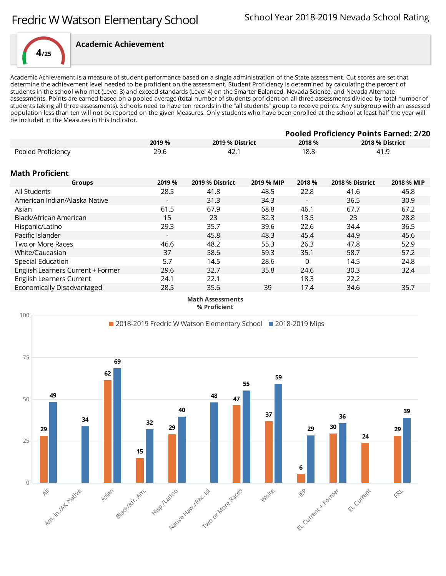

Academic Achievement is a measure of student performance based on a single administration of the State assessment. Cut scores are set that determine the achievement level needed to be proficient on the assessment. Student Proficiency is determined by calculating the percent of students in the school who met (Level 3) and exceed standards (Level 4) on the Smarter Balanced, Nevada Science, and Nevada Alternate assessments. Points are earned based on a pooled average (total number of students proficient on all three assessments divided by total number of students taking all three assessments). Schools need to have ten records in the "all students" group to receive points. Any subgroup with an assessed population less than ten will not be reported on the given Measures. Only students who have been enrolled at the school at least half the year will be included in the Measures in this Indicator.

|                                   |                          | <b>Pooled Proficiency Points Earned: 2/20</b> |            |                          |                 |                 |
|-----------------------------------|--------------------------|-----------------------------------------------|------------|--------------------------|-----------------|-----------------|
|                                   | 2019 %                   | 2019 % District                               |            | 2018 %                   |                 | 2018 % District |
| Pooled Proficiency                | 29.6                     | 42.1                                          |            | 18.8                     |                 | 41.9            |
| Math Proficient                   |                          |                                               |            |                          |                 |                 |
| Groups                            | 2019 %                   | 2019 % District                               | 2019 % MIP | 2018 %                   | 2018 % District | 2018 % MIP      |
| All Students                      | 28.5                     | 41.8                                          | 48.5       | 22.8                     | 41.6            | 45.8            |
| American Indian/Alaska Native     | $\overline{\phantom{a}}$ | 31.3                                          | 34.3       | $\overline{\phantom{a}}$ | 36.5            | 30.9            |
| Asian                             | 61.5                     | 67.9                                          | 68.8       | 46.1                     | 67.7            | 67.2            |
| Black/African American            | 15                       | 23                                            | 32.3       | 13.5                     | 23              | 28.8            |
| Hispanic/Latino                   | 29.3                     | 35.7                                          | 39.6       | 22.6                     | 34.4            | 36.5            |
| Pacific Islander                  |                          | 45.8                                          | 48.3       | 45.4                     | 44.9            | 45.6            |
| Two or More Races                 | 46.6                     | 48.2                                          | 55.3       | 26.3                     | 47.8            | 52.9            |
| White/Caucasian                   | 37                       | 58.6                                          | 59.3       | 35.1                     | 58.7            | 57.2            |
| Special Education                 | 5.7                      | 14.5                                          | 28.6       | 0                        | 14.5            | 24.8            |
| English Learners Current + Former | 29.6                     | 32.7                                          | 35.8       | 24.6                     | 30.3            | 32.4            |
| <b>English Learners Current</b>   | 24.1                     | 22.1                                          |            | 18.3                     | 22.2            |                 |
| Economically Disadvantaged        | 28.5                     | 35.6                                          | 39         | 17.4                     | 34.6            | 35.7            |
|                                   |                          |                                               |            |                          |                 |                 |

**Math Assessments % Proficient**

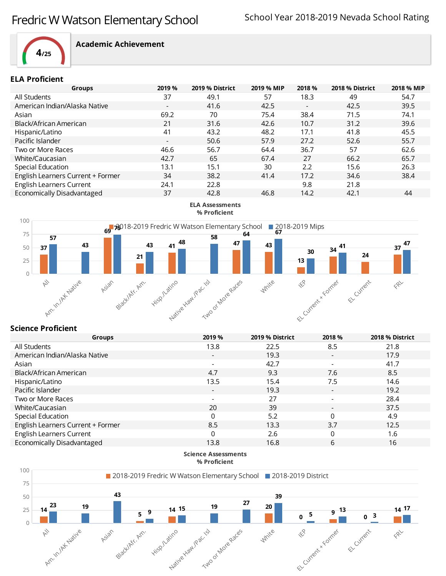

#### **ELA Proficient**

| 2019 %                   | 2019 % District | 2019 % MIP | 2018 %                   | 2018 % District | 2018 % MIP |
|--------------------------|-----------------|------------|--------------------------|-----------------|------------|
| 37                       | 49.1            | 57         | 18.3                     | 49              | 54.7       |
| $\overline{\phantom{0}}$ | 41.6            | 42.5       | $\overline{\phantom{0}}$ | 42.5            | 39.5       |
| 69.2                     | 70              | 75.4       | 38.4                     | 71.5            | 74.1       |
| 21                       | 31.6            | 42.6       | 10.7                     | 31.2            | 39.6       |
| 41                       | 43.2            | 48.2       | 17.1                     | 41.8            | 45.5       |
| $\overline{\phantom{a}}$ | 50.6            | 57.9       | 27.2                     | 52.6            | 55.7       |
| 46.6                     | 56.7            | 64.4       | 36.7                     | 57              | 62.6       |
| 42.7                     | 65              | 67.4       | 27                       | 66.2            | 65.7       |
| 13.1                     | 15.1            | 30         | 2.2                      | 15.6            | 26.3       |
| 34                       | 38.2            | 41.4       | 17.2                     | 34.6            | 38.4       |
| 24.1                     | 22.8            |            | 9.8                      | 21.8            |            |
| 37                       | 42.8            | 46.8       | 14.2                     | 42.1            | 44         |
|                          |                 |            |                          |                 |            |



## **Science Proficient**

| <b>Groups</b>                     | 2019 %                   | 2019 % District | 2018 %                   | 2018 % District |
|-----------------------------------|--------------------------|-----------------|--------------------------|-----------------|
| All Students                      | 13.8                     | 22.5            | 8.5                      | 21.8            |
| American Indian/Alaska Native     | $\overline{\phantom{a}}$ | 19.3            | $\overline{\phantom{a}}$ | 17.9            |
| Asian                             |                          | 42.7            | $\blacksquare$           | 41.7            |
| Black/African American            | 4.7                      | 9.3             | 7.6                      | 8.5             |
| Hispanic/Latino                   | 13.5                     | 15.4            | 7.5                      | 14.6            |
| Pacific Islander                  | $\overline{\phantom{a}}$ | 19.3            | $\overline{\phantom{a}}$ | 19.2            |
| Two or More Races                 |                          | 27              | $\overline{\phantom{a}}$ | 28.4            |
| White/Caucasian                   | 20                       | 39              | $\overline{\phantom{a}}$ | 37.5            |
| Special Education                 | 0                        | 5.2             | $\mathbf 0$              | 4.9             |
| English Learners Current + Former | 8.5                      | 13.3            | 3.7                      | 12.5            |
| English Learners Current          | 0                        | 2.6             | 0                        | 1.6             |
| Economically Disadvantaged        | 13.8                     | 16.8            | 6                        | 16              |
|                                   |                          |                 |                          |                 |

**Science Assessments % Proficient**

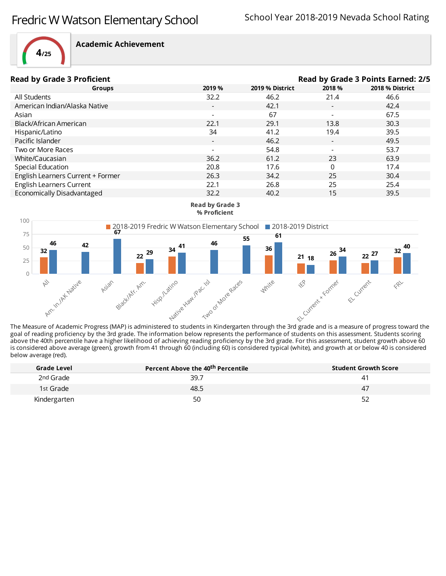

| <b>Read by Grade 3 Proficient</b> |                          |                 | Read by Grade 3 Points Earned: 2/5 |                 |
|-----------------------------------|--------------------------|-----------------|------------------------------------|-----------------|
| Groups                            | 2019 %                   | 2019 % District | 2018 %                             | 2018 % District |
| All Students                      | 32.2                     | 46.2            | 21.4                               | 46.6            |
| American Indian/Alaska Native     | $\overline{\phantom{a}}$ | 42.1            | $\overline{\phantom{a}}$           | 42.4            |
| Asian                             |                          | 67              | $\overline{\phantom{0}}$           | 67.5            |
| Black/African American            | 22.1                     | 29.1            | 13.8                               | 30.3            |
| Hispanic/Latino                   | 34                       | 41.2            | 19.4                               | 39.5            |
| Pacific Islander                  | $\overline{\phantom{0}}$ | 46.2            | $\overline{\phantom{a}}$           | 49.5            |
| Two or More Races                 |                          | 54.8            | $\overline{\phantom{a}}$           | 53.7            |
| White/Caucasian                   | 36.2                     | 61.2            | 23                                 | 63.9            |
| Special Education                 | 20.8                     | 17.6            | 0                                  | 17.4            |
| English Learners Current + Former | 26.3                     | 34.2            | 25                                 | 30.4            |
| English Learners Current          | 22.1                     | 26.8            | 25                                 | 25.4            |
| Economically Disadvantaged        | 32.2                     | 40.2            | 15                                 | 39.5            |





The Measure of Academic Progress (MAP) is administered to students in Kindergarten through the 3rd grade and is a measure of progress toward the goal of reading proficiency by the 3rd grade. The information below represents the performance of students on this assessment. Students scoring above the 40th percentile have a higher likelihood of achieving reading proficiency by the 3rd grade. For this assessment, student growth above 60 is considered above average (green), growth from 41 through 60 (including 60) is considered typical (white), and growth at or below 40 is considered below average (red).

| Grade Level  | Percent Above the 40 <sup>th</sup> Percentile | <b>Student Growth Score</b> |
|--------------|-----------------------------------------------|-----------------------------|
| 2nd Grade    | 39.7                                          |                             |
| 1st Grade    | 48.5                                          | 47                          |
| Kindergarten | 50                                            | 52                          |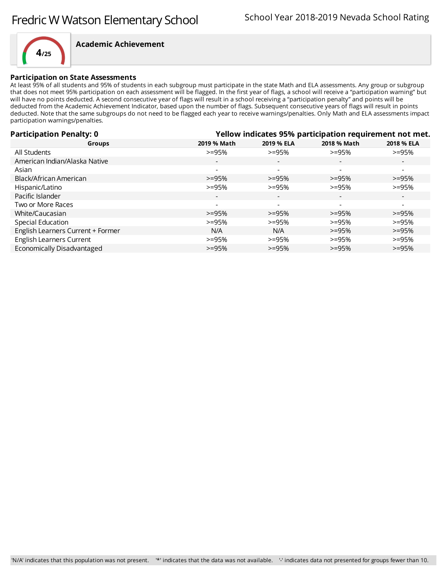

#### **Participation on State Assessments**

At least 95% of all students and 95% of students in each subgroup must participate in the state Math and ELA assessments. Any group or subgroup that does not meet 95% participation on each assessment will be flagged. In the first year of flags, a school will receive a "participation warning" but will have no points deducted. A second consecutive year of flags will result in a school receiving a "participation penalty" and points will be deducted from the Academic Achievement Indicator, based upon the number of flags. Subsequent consecutive years of flags will result in points deducted. Note that the same subgroups do not need to be flagged each year to receive warnings/penalties. Only Math and ELA assessments impact participation warnings/penalties.

| <b>Participation Penalty: 0</b>   |                          | Yellow indicates 95% participation requirement not met. |                          |                          |  |  |
|-----------------------------------|--------------------------|---------------------------------------------------------|--------------------------|--------------------------|--|--|
| <b>Groups</b>                     | 2019 % Math              | 2019 % ELA                                              | 2018 % Math              | 2018 % ELA               |  |  |
| All Students                      | $>=95%$                  | $>=95%$                                                 | $>=95%$                  | $>=95%$                  |  |  |
| American Indian/Alaska Native     | $\overline{\phantom{a}}$ | $\overline{\phantom{a}}$                                |                          | $\sim$                   |  |  |
| Asian                             | $\overline{\phantom{a}}$ | $\overline{\phantom{a}}$                                | $\overline{\phantom{a}}$ |                          |  |  |
| Black/African American            | $>=95%$                  | $>=95%$                                                 | $>=95%$                  | $>=95%$                  |  |  |
| Hispanic/Latino                   | $>=95%$                  | $>=95%$                                                 | $>=95%$                  | $>=95%$                  |  |  |
| Pacific Islander                  | $\overline{\phantom{a}}$ | $\overline{\phantom{a}}$                                | $\overline{\phantom{a}}$ | $\overline{\phantom{a}}$ |  |  |
| Two or More Races                 | $\overline{\phantom{a}}$ | $\overline{\phantom{a}}$                                |                          | $\overline{\phantom{0}}$ |  |  |
| White/Caucasian                   | $>=95%$                  | $>=95%$                                                 | $>=95%$                  | $>=95%$                  |  |  |
| Special Education                 | $>=95%$                  | $>=95%$                                                 | $>=95%$                  | $>=95%$                  |  |  |
| English Learners Current + Former | N/A                      | N/A                                                     | $>=95%$                  | $>=95%$                  |  |  |
| English Learners Current          | $>=95%$                  | $>=95%$                                                 | $>=95%$                  | $>=95%$                  |  |  |
| Economically Disadvantaged        | $>=95%$                  | $>=95%$                                                 | $>=95%$                  | $>=95%$                  |  |  |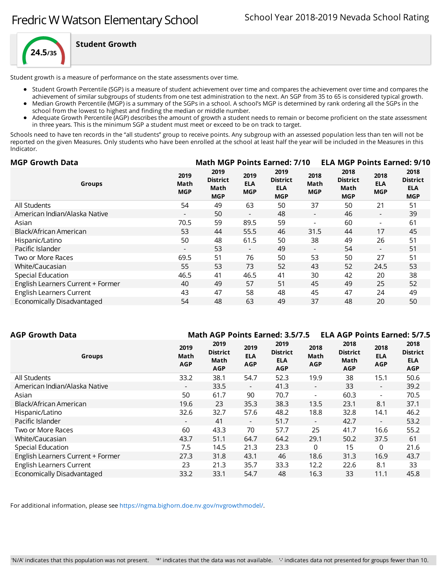

**Student Growth**

Student growth is a measure of performance on the state assessments over time.

- Student Growth Percentile (SGP) is a measure of student achievement over time and compares the achievement over time and compares the
- achievement of similar subgroups of students from one test administration to the next. An SGP from 35 to 65 is considered typical growth. Median Growth Percentile (MGP) is a summary of the SGPs in a school. A school's MGP is determined by rank ordering all the SGPs in the
- school from the lowest to highest and finding the median or middle number.
- Adequate Growth Percentile (AGP) describes the amount of growth a student needs to remain or become proficient on the state assessment in three years. This is the minimum SGP a student must meet or exceed to be on track to target.

Schools need to have ten records in the "all students" group to receive points. Any subgroup with an assessed population less than ten will not be reported on the given Measures. Only students who have been enrolled at the school at least half the year will be included in the Measures in this Indicator.

| <b>MGP Growth Data</b>                                    |                                               | <b>Math MGP Points Earned: 7/10</b> |                                                     |                            |                                               |                                  | <b>ELA MGP Points Earned: 9/10</b>                  |
|-----------------------------------------------------------|-----------------------------------------------|-------------------------------------|-----------------------------------------------------|----------------------------|-----------------------------------------------|----------------------------------|-----------------------------------------------------|
| 2019<br>Math<br>Groups<br><b>MGP</b>                      | 2019<br><b>District</b><br>Math<br><b>MGP</b> | 2019<br><b>ELA</b><br><b>MGP</b>    | 2019<br><b>District</b><br><b>ELA</b><br><b>MGP</b> | 2018<br>Math<br><b>MGP</b> | 2018<br><b>District</b><br>Math<br><b>MGP</b> | 2018<br><b>ELA</b><br><b>MGP</b> | 2018<br><b>District</b><br><b>ELA</b><br><b>MGP</b> |
| All Students<br>54                                        | 49                                            | 63                                  | 50                                                  | 37                         | 50                                            | 21                               | 51                                                  |
| American Indian/Alaska Native<br>$\overline{\phantom{0}}$ | 50                                            | $\overline{\phantom{a}}$            | 48                                                  | $\overline{\phantom{0}}$   | 46                                            | $\overline{\phantom{a}}$         | 39                                                  |
| 70.5<br>Asian                                             | 59                                            | 89.5                                | 59                                                  |                            | 60                                            | $\overline{\phantom{a}}$         | 61                                                  |
| Black/African American<br>53                              | 44                                            | 55.5                                | 46                                                  | 31.5                       | 44                                            | 17                               | 45                                                  |
| 50<br>Hispanic/Latino                                     | 48                                            | 61.5                                | 50                                                  | 38                         | 49                                            | 26                               | 51                                                  |
| Pacific Islander<br>$\overline{\phantom{0}}$              | 53                                            | $\overline{\phantom{a}}$            | 49                                                  | $\overline{\phantom{0}}$   | 54                                            | $\overline{\phantom{a}}$         | 51                                                  |
| 69.5<br>Two or More Races                                 | 51                                            | 76                                  | 50                                                  | 53                         | 50                                            | 27                               | 51                                                  |
| 55<br>White/Caucasian                                     | 53                                            | 73                                  | 52                                                  | 43                         | 52                                            | 24.5                             | 53                                                  |
| 46.5<br>Special Education                                 | 41                                            | 46.5                                | 41                                                  | 30                         | 42                                            | 20                               | 38                                                  |
| English Learners Current + Former<br>40                   | 49                                            | 57                                  | 51                                                  | 45                         | 49                                            | 25                               | 52                                                  |
| 43<br><b>English Learners Current</b>                     | 47                                            | 58                                  | 48                                                  | 45                         | 47                                            | 24                               | 49                                                  |
| Economically Disadvantaged<br>54                          | 48                                            | 63                                  | 49                                                  | 37                         | 48                                            | 20                               | 50                                                  |

| AGP Growth Data                   |                            |                                               |                                  | <b>Math AGP Points Earned: 3.5/7.5</b>              |                            |                                               |                                  | <b>ELA AGP Points Earned: 5/7.5</b>                 |
|-----------------------------------|----------------------------|-----------------------------------------------|----------------------------------|-----------------------------------------------------|----------------------------|-----------------------------------------------|----------------------------------|-----------------------------------------------------|
| <b>Groups</b>                     | 2019<br>Math<br><b>AGP</b> | 2019<br><b>District</b><br>Math<br><b>AGP</b> | 2019<br><b>ELA</b><br><b>AGP</b> | 2019<br><b>District</b><br><b>ELA</b><br><b>AGP</b> | 2018<br>Math<br><b>AGP</b> | 2018<br><b>District</b><br>Math<br><b>AGP</b> | 2018<br><b>ELA</b><br><b>AGP</b> | 2018<br><b>District</b><br><b>ELA</b><br><b>AGP</b> |
| All Students                      | 33.2                       | 38.1                                          | 54.7                             | 52.3                                                | 19.9                       | 38                                            | 15.1                             | 50.6                                                |
| American Indian/Alaska Native     | $\overline{\phantom{a}}$   | 33.5                                          | $\overline{\phantom{a}}$         | 41.3                                                | $\overline{\phantom{a}}$   | 33                                            | $\overline{\phantom{0}}$         | 39.2                                                |
| Asian                             | 50                         | 61.7                                          | 90                               | 70.7                                                | $\blacksquare$             | 60.3                                          | $\overline{\phantom{0}}$         | 70.5                                                |
| Black/African American            | 19.6                       | 23                                            | 35.3                             | 38.3                                                | 13.5                       | 23.1                                          | 8.1                              | 37.1                                                |
| Hispanic/Latino                   | 32.6                       | 32.7                                          | 57.6                             | 48.2                                                | 18.8                       | 32.8                                          | 14.1                             | 46.2                                                |
| Pacific Islander                  | $\overline{\phantom{a}}$   | 41                                            | $\overline{\phantom{a}}$         | 51.7                                                | $\overline{\phantom{a}}$   | 42.7                                          | $\overline{\phantom{a}}$         | 53.2                                                |
| Two or More Races                 | 60                         | 43.3                                          | 70                               | 57.7                                                | 25                         | 41.7                                          | 16.6                             | 55.2                                                |
| White/Caucasian                   | 43.7                       | 51.1                                          | 64.7                             | 64.2                                                | 29.1                       | 50.2                                          | 37.5                             | 61                                                  |
| Special Education                 | 7.5                        | 14.5                                          | 21.3                             | 23.3                                                | 0                          | 15                                            | 0                                | 21.6                                                |
| English Learners Current + Former | 27.3                       | 31.8                                          | 43.1                             | 46                                                  | 18.6                       | 31.3                                          | 16.9                             | 43.7                                                |
| <b>English Learners Current</b>   | 23                         | 21.3                                          | 35.7                             | 33.3                                                | 12.2                       | 22.6                                          | 8.1                              | 33                                                  |
| Economically Disadvantaged        | 33.2                       | 33.1                                          | 54.7                             | 48                                                  | 16.3                       | 33                                            | 11.1                             | 45.8                                                |
|                                   |                            |                                               |                                  |                                                     |                            |                                               |                                  |                                                     |

For additional information, please see [https://ngma.bighorn.doe.nv.gov/nvgrowthmodel/.](https://ngma.bighorn.doe.nv.gov/nvgrowthmodel/)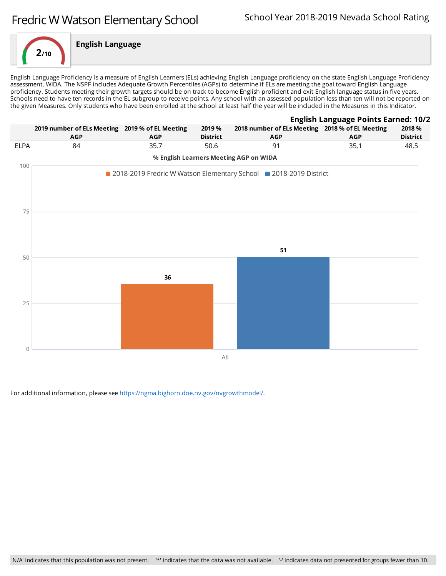

English Language Proficiency is a measure of English Learners (ELs) achieving English Language proficiency on the state English Language Proficiency assessment, WIDA. The NSPF includes Adequate Growth Percentiles (AGPs) to determine if ELs are meeting the goal toward English Language proficiency. Students meeting their growth targets should be on track to become English proficient and exit English language status in five years. Schools need to have ten records in the EL subgroup to receive points. Any school with an assessed population less than ten will not be reported on the given Measures. Only students who have been enrolled at the school at least half the year will be included in the Measures in this Indicator.



For additional information, please see [https://ngma.bighorn.doe.nv.gov/nvgrowthmodel/.](https://ngma.bighorn.doe.nv.gov/nvgrowthmodel/)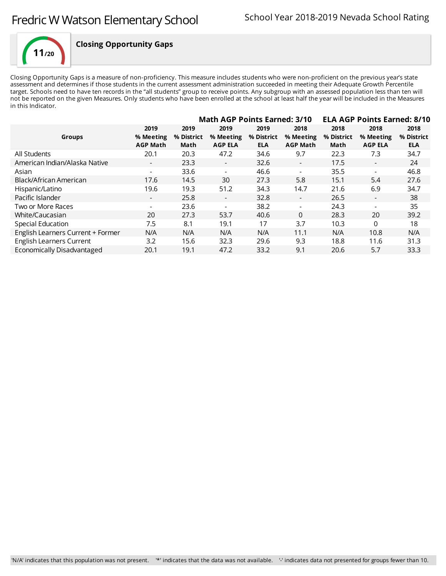

## **Closing Opportunity Gaps**

Closing Opportunity Gaps is a measure of non-proficiency. This measure includes students who were non-proficient on the previous year's state assessment and determines if those students in the current assessment administration succeeded in meeting their Adequate Growth Percentile target. Schools need to have ten records in the "all students" group to receive points. Any subgroup with an assessed population less than ten will not be reported on the given Measures. Only students who have been enrolled at the school at least half the year will be included in the Measures in this Indicator.

|                                   |                                      | <b>Math AGP Points Earned: 3/10</b> |                                     | <b>ELA AGP Points Earned: 8/10</b> |                                      |                            |                                     |                                  |
|-----------------------------------|--------------------------------------|-------------------------------------|-------------------------------------|------------------------------------|--------------------------------------|----------------------------|-------------------------------------|----------------------------------|
| <b>Groups</b>                     | 2019<br>% Meeting<br><b>AGP Math</b> | 2019<br>% District<br>Math          | 2019<br>% Meeting<br><b>AGP ELA</b> | 2019<br>% District<br><b>ELA</b>   | 2018<br>% Meeting<br><b>AGP Math</b> | 2018<br>% District<br>Math | 2018<br>% Meeting<br><b>AGP ELA</b> | 2018<br>% District<br><b>ELA</b> |
| All Students                      | 20.1                                 | 20.3                                | 47.2                                | 34.6                               | 9.7                                  | 22.3                       | 7.3                                 | 34.7                             |
| American Indian/Alaska Native     | $\overline{\phantom{a}}$             | 23.3                                | $\overline{\phantom{a}}$            | 32.6                               | $\overline{\phantom{a}}$             | 17.5                       | $\overline{\phantom{a}}$            | 24                               |
| Asian                             | $\overline{\phantom{0}}$             | 33.6                                | $\blacksquare$                      | 46.6                               | $\blacksquare$                       | 35.5                       |                                     | 46.8                             |
| Black/African American            | 17.6                                 | 14.5                                | 30                                  | 27.3                               | 5.8                                  | 15.1                       | 5.4                                 | 27.6                             |
| Hispanic/Latino                   | 19.6                                 | 19.3                                | 51.2                                | 34.3                               | 14.7                                 | 21.6                       | 6.9                                 | 34.7                             |
| Pacific Islander                  | $\overline{\phantom{0}}$             | 25.8                                | $\overline{\phantom{a}}$            | 32.8                               | $\overline{\phantom{a}}$             | 26.5                       | $\overline{\phantom{a}}$            | 38                               |
| Two or More Races                 |                                      | 23.6                                | $\overline{\phantom{a}}$            | 38.2                               | $\overline{\phantom{a}}$             | 24.3                       |                                     | 35                               |
| White/Caucasian                   | 20                                   | 27.3                                | 53.7                                | 40.6                               | $\Omega$                             | 28.3                       | 20                                  | 39.2                             |
| Special Education                 | 7.5                                  | 8.1                                 | 19.1                                | 17                                 | 3.7                                  | 10.3                       | $\Omega$                            | 18                               |
| English Learners Current + Former | N/A                                  | N/A                                 | N/A                                 | N/A                                | 11.1                                 | N/A                        | 10.8                                | N/A                              |
| English Learners Current          | 3.2                                  | 15.6                                | 32.3                                | 29.6                               | 9.3                                  | 18.8                       | 11.6                                | 31.3                             |
| <b>Economically Disadvantaged</b> | 20.1                                 | 19.1                                | 47.2                                | 33.2                               | 9.1                                  | 20.6                       | 5.7                                 | 33.3                             |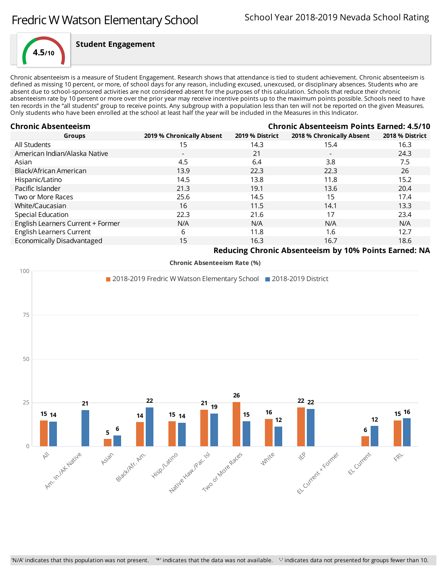

### **Student Engagement**

Chronic absenteeism is a measure of Student Engagement. Research shows that attendance is tied to student achievement. Chronic absenteeism is defined as missing 10 percent, or more, of school days for any reason, including excused, unexcused, or disciplinary absences. Students who are absent due to school-sponsored activities are not considered absent for the purposes of this calculation. Schools that reduce their chronic absenteeism rate by 10 percent or more over the prioryear may receive incentive points up to the maximum points possible. Schools need to have ten records in the "all students" group to receive points. Any subgroup with a population less than ten will not be reported on the given Measures. Only students who have been enrolled at the school at least half the year will be included in the Measures in this Indicator.

| <b>Chronic Absenteeism</b><br><b>Chronic Absenteeism Points Earned: 4.5/10</b> |                           |                 |                                                              |                 |
|--------------------------------------------------------------------------------|---------------------------|-----------------|--------------------------------------------------------------|-----------------|
| <b>Groups</b>                                                                  | 2019 % Chronically Absent | 2019 % District | 2018 % Chronically Absent                                    | 2018 % District |
| All Students                                                                   | 15                        | 14.3            | 15.4                                                         | 16.3            |
| American Indian/Alaska Native                                                  | $\overline{\phantom{a}}$  | 21              | $\overline{\phantom{0}}$                                     | 24.3            |
| Asian                                                                          | 4.5                       | 6.4             | 3.8                                                          | 7.5             |
| Black/African American                                                         | 13.9                      | 22.3            | 22.3                                                         | 26              |
| Hispanic/Latino                                                                | 14.5                      | 13.8            | 11.8                                                         | 15.2            |
| Pacific Islander                                                               | 21.3                      | 19.1            | 13.6                                                         | 20.4            |
| Two or More Races                                                              | 25.6                      | 14.5            | 15                                                           | 17.4            |
| White/Caucasian                                                                | 16                        | 11.5            | 14.1                                                         | 13.3            |
| Special Education                                                              | 22.3                      | 21.6            | 17                                                           | 23.4            |
| English Learners Current + Former                                              | N/A                       | N/A             | N/A                                                          | N/A             |
| <b>English Learners Current</b>                                                | 6                         | 11.8            | 1.6                                                          | 12.7            |
| Economically Disadvantaged                                                     | 15                        | 16.3            | 16.7                                                         | 18.6            |
|                                                                                |                           |                 | <b>Doducing Chronic Absontonism by 10% Doints Enroad: NA</b> |                 |

**Reducing Chronic Absenteeism by 10% Points Earned: NA**